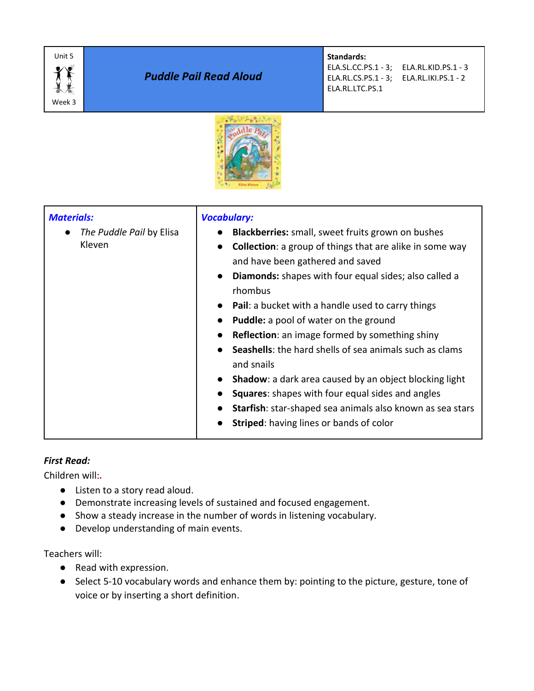

# *Puddle Pail Read Aloud*

**Standards:** 

ELA.RL.LTC.PS.1

ELA.SL.CC.PS.1 - 3; ELA.RL.KID.PS.1 - 3 ELA.RL.CS.PS.1 - 3; ELA.RL.IKI.PS.1 - 2



| <b>Materials:</b><br>The Puddle Pail by Elisa<br>Kleven | <b>Vocabulary:</b><br>Blackberries: small, sweet fruits grown on bushes<br><b>Collection:</b> a group of things that are alike in some way<br>$\bullet$<br>and have been gathered and saved<br><b>Diamonds:</b> shapes with four equal sides; also called a<br>$\bullet$<br>rhombus<br><b>Pail:</b> a bucket with a handle used to carry things<br><b>Puddle:</b> a pool of water on the ground<br>$\bullet$<br><b>Reflection:</b> an image formed by something shiny<br><b>Seashells:</b> the hard shells of sea animals such as clams<br>and snails<br>Shadow: a dark area caused by an object blocking light<br>$\bullet$<br><b>Squares:</b> shapes with four equal sides and angles<br>Starfish: star-shaped sea animals also known as sea stars<br>$\bullet$<br><b>Striped:</b> having lines or bands of color |
|---------------------------------------------------------|---------------------------------------------------------------------------------------------------------------------------------------------------------------------------------------------------------------------------------------------------------------------------------------------------------------------------------------------------------------------------------------------------------------------------------------------------------------------------------------------------------------------------------------------------------------------------------------------------------------------------------------------------------------------------------------------------------------------------------------------------------------------------------------------------------------------|
|---------------------------------------------------------|---------------------------------------------------------------------------------------------------------------------------------------------------------------------------------------------------------------------------------------------------------------------------------------------------------------------------------------------------------------------------------------------------------------------------------------------------------------------------------------------------------------------------------------------------------------------------------------------------------------------------------------------------------------------------------------------------------------------------------------------------------------------------------------------------------------------|

# *First Read:*

Children will:*.*

- Listen to a story read aloud.
- Demonstrate increasing levels of sustained and focused engagement.
- Show a steady increase in the number of words in listening vocabulary.
- Develop understanding of main events.

Teachers will:

- Read with expression.
- Select 5-10 vocabulary words and enhance them by: pointing to the picture, gesture, tone of voice or by inserting a short definition.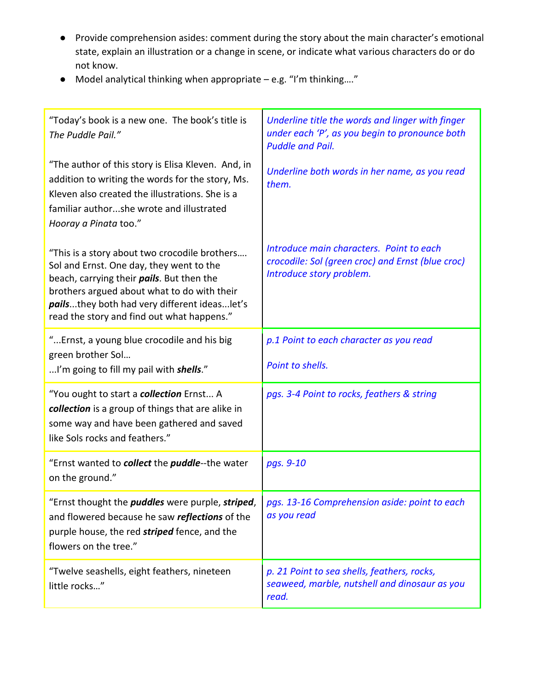- Provide comprehension asides: comment during the story about the main character's emotional state, explain an illustration or a change in scene, or indicate what various characters do or do not know.
- Model analytical thinking when appropriate e.g. "I'm thinking…."

| "Today's book is a new one. The book's title is<br>The Puddle Pail."                                                                                                                                                                                                                        | Underline title the words and linger with finger<br>under each 'P', as you begin to pronounce both<br><b>Puddle and Pail.</b> |
|---------------------------------------------------------------------------------------------------------------------------------------------------------------------------------------------------------------------------------------------------------------------------------------------|-------------------------------------------------------------------------------------------------------------------------------|
| "The author of this story is Elisa Kleven. And, in<br>addition to writing the words for the story, Ms.<br>Kleven also created the illustrations. She is a<br>familiar authorshe wrote and illustrated<br>Hooray a Pinata too."                                                              | Underline both words in her name, as you read<br>them.                                                                        |
| "This is a story about two crocodile brothers<br>Sol and Ernst. One day, they went to the<br>beach, carrying their <i>pails</i> . But then the<br>brothers argued about what to do with their<br>pailsthey both had very different ideaslet's<br>read the story and find out what happens." | Introduce main characters. Point to each<br>crocodile: Sol (green croc) and Ernst (blue croc)<br>Introduce story problem.     |
| "Ernst, a young blue crocodile and his big<br>green brother Sol                                                                                                                                                                                                                             | p.1 Point to each character as you read                                                                                       |
| I'm going to fill my pail with <i>shells</i> ."                                                                                                                                                                                                                                             | Point to shells.                                                                                                              |
| "You ought to start a <b>collection</b> Ernst A<br>collection is a group of things that are alike in<br>some way and have been gathered and saved<br>like Sols rocks and feathers."                                                                                                         | pgs. 3-4 Point to rocks, feathers & string                                                                                    |
| "Ernst wanted to collect the puddle--the water<br>on the ground."                                                                                                                                                                                                                           | pgs. 9-10                                                                                                                     |
| "Ernst thought the <i>puddles</i> were purple, striped,<br>and flowered because he saw reflections of the<br>purple house, the red striped fence, and the<br>flowers on the tree."                                                                                                          | pgs. 13-16 Comprehension aside: point to each<br>as you read                                                                  |
| "Twelve seashells, eight feathers, nineteen<br>little rocks"                                                                                                                                                                                                                                | p. 21 Point to sea shells, feathers, rocks,<br>seaweed, marble, nutshell and dinosaur as you<br>read.                         |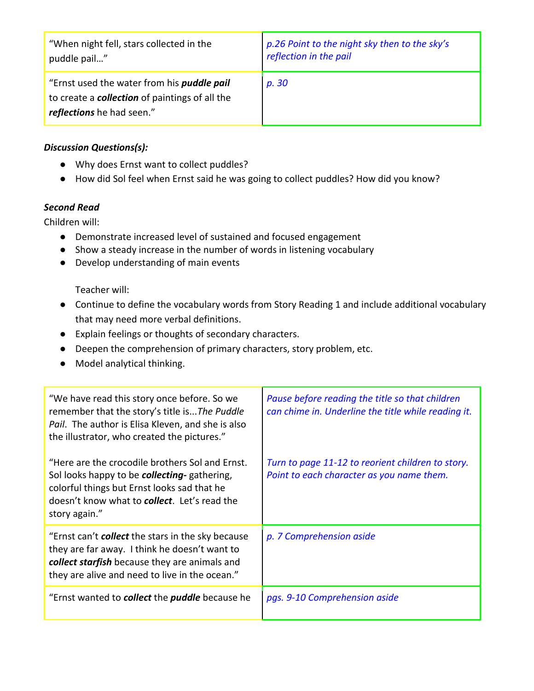| "When night fell, stars collected in the                                                                                                | p.26 Point to the night sky then to the sky's |
|-----------------------------------------------------------------------------------------------------------------------------------------|-----------------------------------------------|
| puddle pail"                                                                                                                            | reflection in the pail                        |
| "Ernst used the water from his <i>puddle pail</i><br>to create a <b>collection</b> of paintings of all the<br>reflections he had seen." | p. 30                                         |

### *Discussion Questions(s):*

- Why does Ernst want to collect puddles?
- How did Sol feel when Ernst said he was going to collect puddles? How did you know?

### *Second Read*

Children will:

- Demonstrate increased level of sustained and focused engagement
- Show a steady increase in the number of words in listening vocabulary
- Develop understanding of main events

Teacher will:

- Continue to define the vocabulary words from Story Reading 1 and include additional vocabulary that may need more verbal definitions.
- Explain feelings or thoughts of secondary characters.
- Deepen the comprehension of primary characters, story problem, etc.
- Model analytical thinking.

| "We have read this story once before. So we<br>remember that the story's title isThe Puddle<br>Pail. The author is Elisa Kleven, and she is also<br>the illustrator, who created the pictures."                         | Pause before reading the title so that children<br>can chime in. Underline the title while reading it. |
|-------------------------------------------------------------------------------------------------------------------------------------------------------------------------------------------------------------------------|--------------------------------------------------------------------------------------------------------|
| "Here are the crocodile brothers Sol and Ernst.<br>Sol looks happy to be collecting- gathering,<br>colorful things but Ernst looks sad that he<br>doesn't know what to <b>collect</b> . Let's read the<br>story again." | Turn to page 11-12 to reorient children to story.<br>Point to each character as you name them.         |
| "Ernst can't <b>collect</b> the stars in the sky because<br>they are far away. I think he doesn't want to<br>collect starfish because they are animals and<br>they are alive and need to live in the ocean."            | p. 7 Comprehension aside                                                                               |
| "Ernst wanted to <b>collect</b> the <b>puddle</b> because he                                                                                                                                                            | pgs. 9-10 Comprehension aside                                                                          |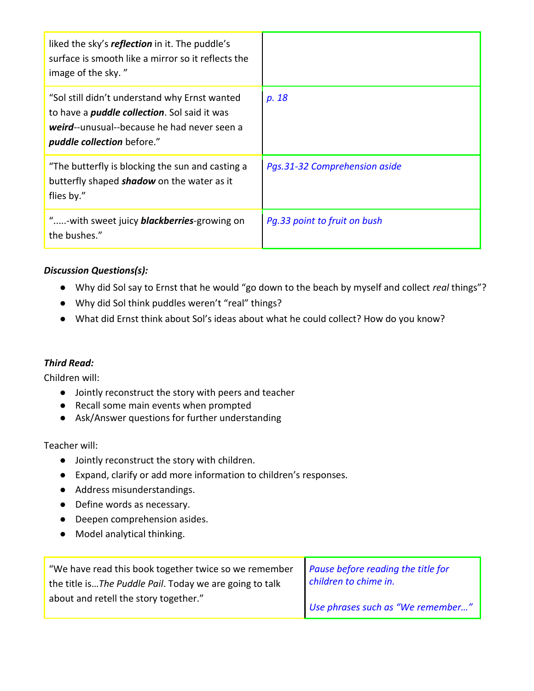| liked the sky's reflection in it. The puddle's<br>surface is smooth like a mirror so it reflects the<br>image of the sky."                                                         |                               |
|------------------------------------------------------------------------------------------------------------------------------------------------------------------------------------|-------------------------------|
| "Sol still didn't understand why Ernst wanted<br>to have a <i>puddle collection</i> . Sol said it was<br>weird--unusual--because he had never seen a<br>puddle collection before." | p. 18                         |
| "The butterfly is blocking the sun and casting a<br>butterfly shaped <b>shadow</b> on the water as it<br>flies by."                                                                | Pas.31-32 Comprehension aside |
| "-with sweet juicy <b>blackberries</b> -growing on<br>the bushes."                                                                                                                 | Pq.33 point to fruit on bush  |

# *Discussion Questions(s):*

- Why did Sol say to Ernst that he would "go down to the beach by myself and collect *real* things"?
- Why did Sol think puddles weren't "real" things?
- What did Ernst think about Sol's ideas about what he could collect? How do you know?

# *Third Read:*

Children will:

- Jointly reconstruct the story with peers and teacher
- Recall some main events when prompted
- Ask/Answer questions for further understanding

Teacher will:

- Jointly reconstruct the story with children.
- Expand, clarify or add more information to children's responses.
- Address misunderstandings.
- Define words as necessary.
- Deepen comprehension asides.
- Model analytical thinking.

| "We have read this book together twice so we remember   Pause before reading the title for |                                   |
|--------------------------------------------------------------------------------------------|-----------------------------------|
| the title isThe Puddle Pail. Today we are going to talk                                    | children to chime in.             |
| about and retell the story together."                                                      | Use phrases such as "We remember" |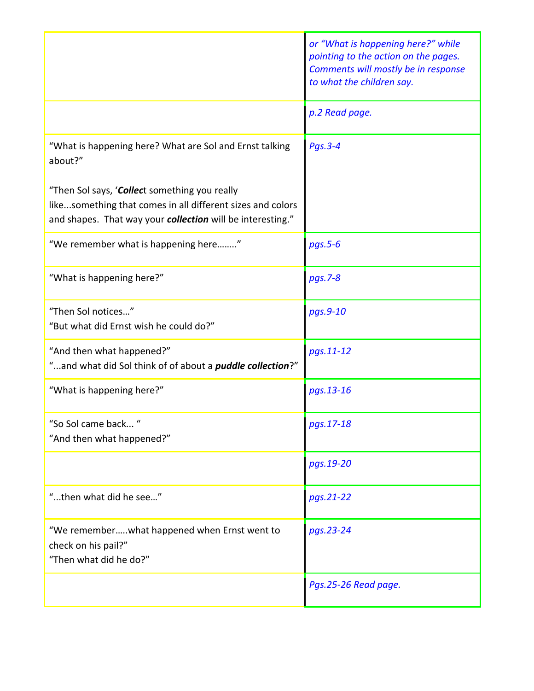|                                                                                                                                                                           | or "What is happening here?" while<br>pointing to the action on the pages.<br>Comments will mostly be in response<br>to what the children say. |
|---------------------------------------------------------------------------------------------------------------------------------------------------------------------------|------------------------------------------------------------------------------------------------------------------------------------------------|
|                                                                                                                                                                           | p.2 Read page.                                                                                                                                 |
| "What is happening here? What are Sol and Ernst talking<br>about?"                                                                                                        | Pgs.3-4                                                                                                                                        |
| "Then Sol says, 'Collect something you really<br>likesomething that comes in all different sizes and colors<br>and shapes. That way your collection will be interesting." |                                                                                                                                                |
| "We remember what is happening here"                                                                                                                                      | $pgs.5-6$                                                                                                                                      |
| "What is happening here?"                                                                                                                                                 | pgs.7-8                                                                                                                                        |
| "Then Sol notices"<br>"But what did Ernst wish he could do?"                                                                                                              | pgs.9-10                                                                                                                                       |
| "And then what happened?"<br>"and what did Sol think of of about a <i>puddle collection</i> ?"                                                                            | pgs.11-12                                                                                                                                      |
| "What is happening here?"                                                                                                                                                 | pgs.13-16                                                                                                                                      |
| "So Sol came back<br>"And then what happened?"                                                                                                                            | pgs.17-18                                                                                                                                      |
|                                                                                                                                                                           | pgs.19-20                                                                                                                                      |
| "then what did he see"                                                                                                                                                    | pgs.21-22                                                                                                                                      |
| "We rememberwhat happened when Ernst went to<br>check on his pail?"<br>"Then what did he do?"                                                                             | pgs.23-24                                                                                                                                      |
|                                                                                                                                                                           | Pgs.25-26 Read page.                                                                                                                           |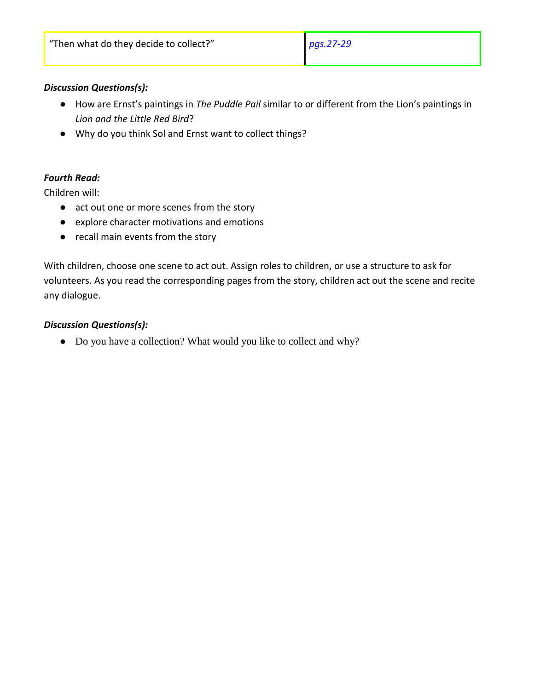### *Discussion Questions(s):*

- How are Ernst's paintings in *The Puddle Pail* similar to or different from the Lion's paintings in *Lion and the Little Red Bird*?
- Why do you think Sol and Ernst want to collect things?

# *Fourth Read:*

Children will:

- act out one or more scenes from the story
- explore character motivations and emotions
- recall main events from the story

With children, choose one scene to act out. Assign roles to children, or use a structure to ask for volunteers. As you read the corresponding pages from the story, children act out the scene and recite any dialogue.

### *Discussion Questions(s):*

● Do you have a collection? What would you like to collect and why?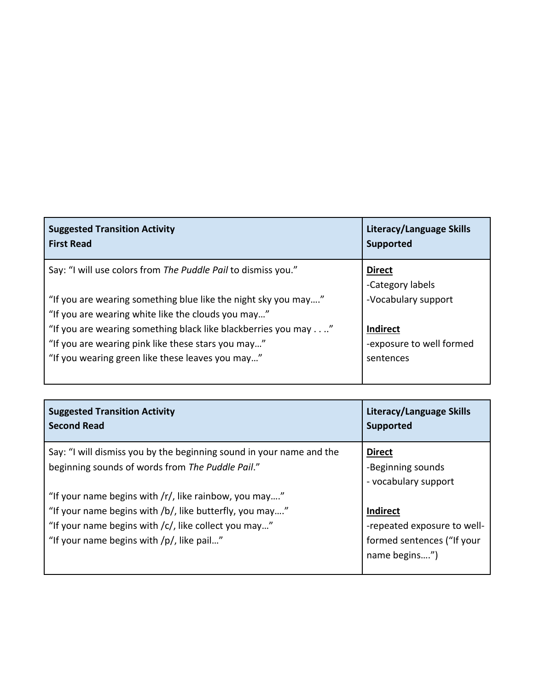| <b>Suggested Transition Activity</b><br><b>First Read</b>                                                            | <b>Literacy/Language Skills</b><br><b>Supported</b> |
|----------------------------------------------------------------------------------------------------------------------|-----------------------------------------------------|
| Say: "I will use colors from The Puddle Pail to dismiss you."                                                        | <b>Direct</b><br>-Category labels                   |
| "If you are wearing something blue like the night sky you may"<br>"If you are wearing white like the clouds you may" | -Vocabulary support                                 |
| "If you are wearing something black like blackberries you may."                                                      | <b>Indirect</b>                                     |
| "If you are wearing pink like these stars you may"                                                                   | -exposure to well formed                            |
| "If you wearing green like these leaves you may"                                                                     | sentences                                           |

| <b>Suggested Transition Activity</b>                                                                                     | Literacy/Language Skills                                   |
|--------------------------------------------------------------------------------------------------------------------------|------------------------------------------------------------|
| <b>Second Read</b>                                                                                                       | <b>Supported</b>                                           |
| Say: "I will dismiss you by the beginning sound in your name and the<br>beginning sounds of words from The Puddle Pail." | <b>Direct</b><br>-Beginning sounds<br>- vocabulary support |
| "If your name begins with $\frac{r}{r}$ , like rainbow, you may"                                                         | <b>Indirect</b>                                            |
| "If your name begins with /b/, like butterfly, you may"                                                                  | -repeated exposure to well-                                |
| "If your name begins with /c/, like collect you may"                                                                     | formed sentences ("If your                                 |
| "If your name begins with /p/, like pail"                                                                                | name begins")                                              |